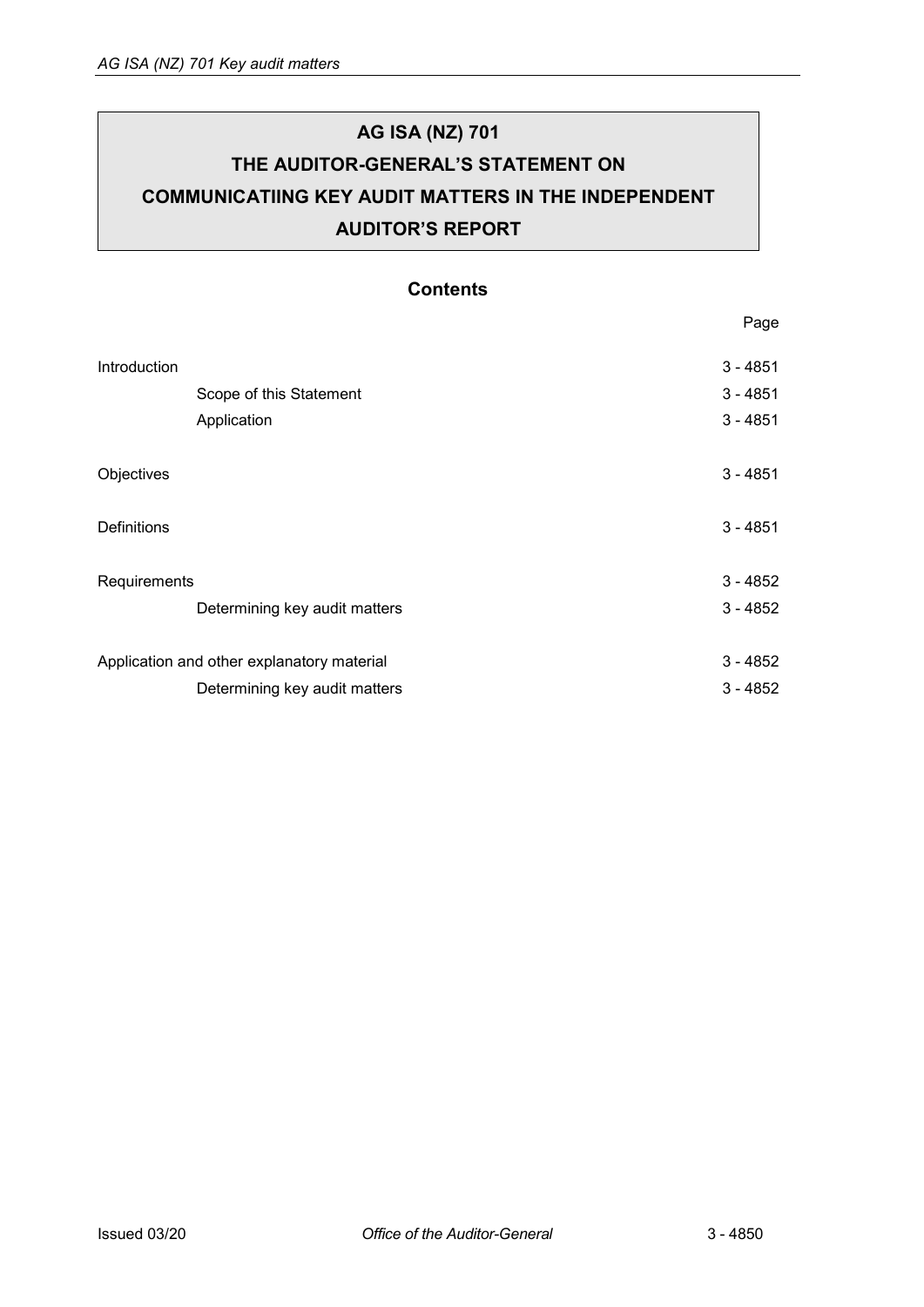# **AG ISA (NZ) 701 THE AUDITOR-GENERAL'S STATEMENT ON COMMUNICATIING KEY AUDIT MATTERS IN THE INDEPENDENT AUDITOR'S REPORT**

# **Contents**

|                                            | Page       |
|--------------------------------------------|------------|
| Introduction                               | $3 - 4851$ |
| Scope of this Statement                    | $3 - 4851$ |
| Application                                | $3 - 4851$ |
| Objectives                                 | $3 - 4851$ |
| <b>Definitions</b>                         | $3 - 4851$ |
| Requirements                               | $3 - 4852$ |
| Determining key audit matters              | $3 - 4852$ |
| Application and other explanatory material | $3 - 4852$ |
| Determining key audit matters              | $3 - 4852$ |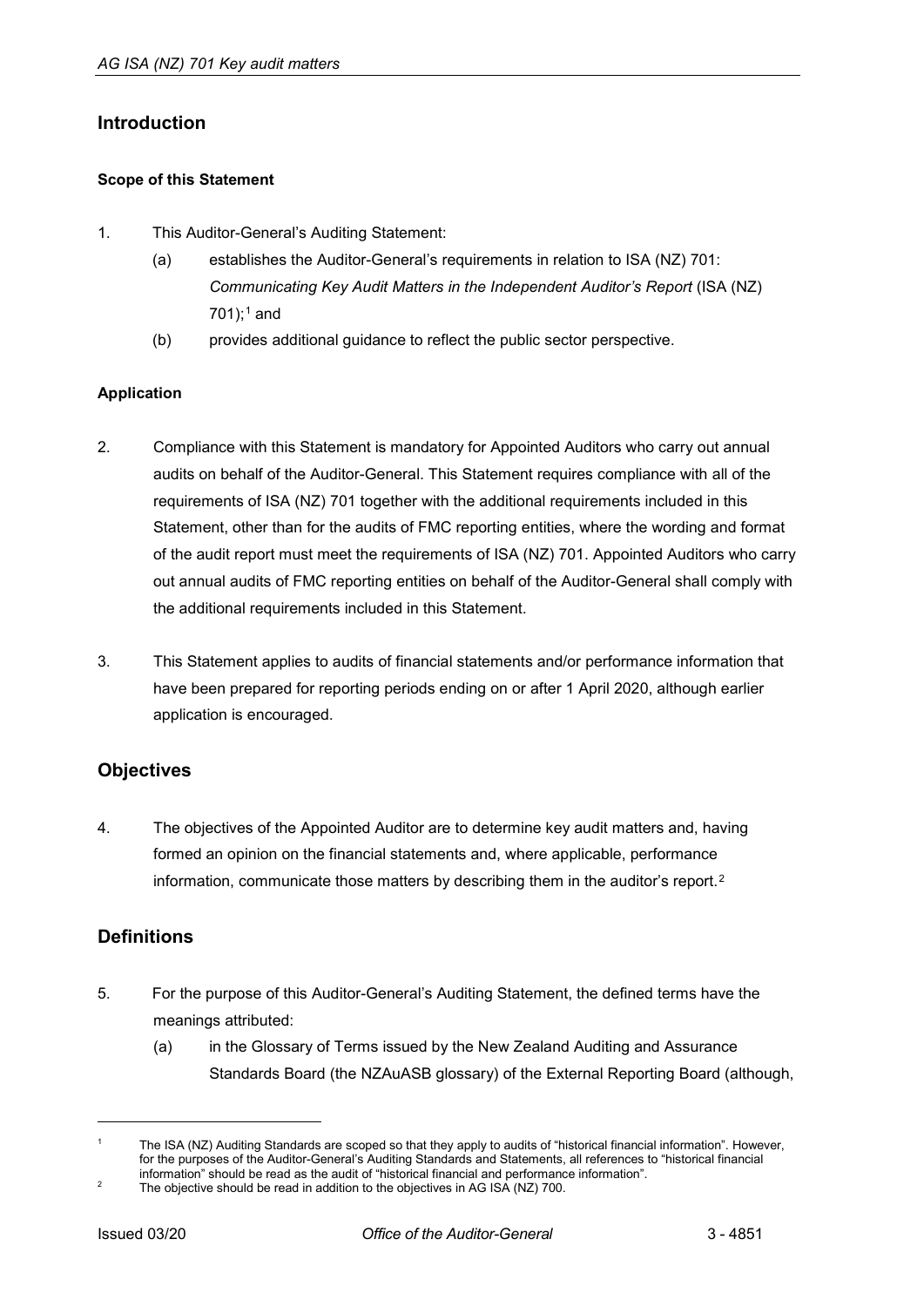# <span id="page-1-0"></span>**Introduction**

### <span id="page-1-1"></span>**Scope of this Statement**

- 1. This Auditor-General's Auditing Statement:
	- (a) establishes the Auditor-General's requirements in relation to ISA (NZ) 701: *Communicating Key Audit Matters in the Independent Auditor's Report* (ISA (NZ)  $701$  $701$ ;<sup>1</sup> and
	- (b) provides additional guidance to reflect the public sector perspective.

### <span id="page-1-2"></span>**Application**

- 2. Compliance with this Statement is mandatory for Appointed Auditors who carry out annual audits on behalf of the Auditor-General. This Statement requires compliance with all of the requirements of ISA (NZ) 701 together with the additional requirements included in this Statement, other than for the audits of FMC reporting entities, where the wording and format of the audit report must meet the requirements of ISA (NZ) 701. Appointed Auditors who carry out annual audits of FMC reporting entities on behalf of the Auditor-General shall comply with the additional requirements included in this Statement.
- 3. This Statement applies to audits of financial statements and/or performance information that have been prepared for reporting periods ending on or after 1 April 2020, although earlier application is encouraged.

## <span id="page-1-3"></span>**Objectives**

4. The objectives of the Appointed Auditor are to determine key audit matters and, having formed an opinion on the financial statements and, where applicable, performance information, communicate those matters by describing them in the auditor's report.<sup>[2](#page-1-6)</sup>

# <span id="page-1-4"></span>**Definitions**

- 5. For the purpose of this Auditor-General's Auditing Statement, the defined terms have the meanings attributed:
	- (a) in the Glossary of Terms issued by the New Zealand Auditing and Assurance Standards Board (the NZAuASB glossary) of the External Reporting Board (although,

-

<span id="page-1-5"></span>The ISA (NZ) Auditing Standards are scoped so that they apply to audits of "historical financial information". However, for the purposes of the Auditor-General's Auditing Standards and Statements, all references to "historical financial information" should be read as the audit of "historical financial and performance information".

<span id="page-1-6"></span>The objective should be read in addition to the objectives in AG ISA (NZ) 700.